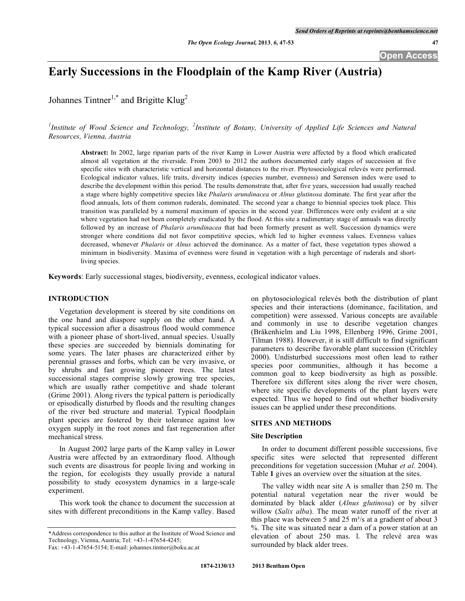# **Early Successions in the Floodplain of the Kamp River (Austria)**

Johannes Tintner<sup>1,\*</sup> and Brigitte Klug<sup>2</sup>

<sup>1</sup>Institute of Wood Science and Technology, <sup>2</sup>Institute of Botany, University of Applied Life Sciences and Natural *Resources, Vienna, Austria*

**Abstract:** In 2002, large riparian parts of the river Kamp in Lower Austria were affected by a flood which eradicated almost all vegetation at the riverside. From 2003 to 2012 the authors documented early stages of succession at five specific sites with characteristic vertical and horizontal distances to the river. Phytosociological relevés were performed. Ecological indicator values, life traits, diversity indices (species number, evenness) and Sørensen index were used to describe the development within this period. The results demonstrate that, after five years, succession had usually reached a stage where highly competitive species like *Phalaris arundinacea* or *Alnus glutinosa* dominate. The first year after the flood annuals, lots of them common ruderals, dominated. The second year a change to biennial species took place. This transition was paralleled by a numeral maximum of species in the second year. Differences were only evident at a site where vegetation had not been completely eradicated by the flood. At this site a rudimentary stage of annuals was directly followed by an increase of *Phalaris arundinacea* that had been formerly present as well. Succession dynamics were stronger where conditions did not favor competitive species, which led to higher evenness values. Evenness values decreased, whenever *Phalaris* or *Alnus* achieved the dominance. As a matter of fact, these vegetation types showed a minimum in biodiversity. Maxima of evenness were found in vegetation with a high percentage of ruderals and shortliving species.

**Keywords**: Early successional stages, biodiversity, evenness, ecological indicator values.

#### **INTRODUCTION**

Vegetation development is steered by site conditions on the one hand and diaspore supply on the other hand. A typical succession after a disastrous flood would commence with a pioneer phase of short-lived, annual species. Usually these species are succeeded by biennials dominating for some years. The later phases are characterized either by perennial grasses and forbs, which can be very invasive, or by shrubs and fast growing pioneer trees. The latest successional stages comprise slowly growing tree species, which are usually rather competitive and shade tolerant (Grime 2001). Along rivers the typical pattern is periodically or episodically disturbed by floods and the resulting changes of the river bed structure and material. Typical floodplain plant species are fostered by their tolerance against low oxygen supply in the root zones and fast regeneration after mechanical stress.

In August 2002 large parts of the Kamp valley in Lower Austria were affected by an extraordinary flood. Although such events are disastrous for people living and working in the region, for ecologists they usually provide a natural possibility to study ecosystem dynamics in a large-scale experiment.

This work took the chance to document the succession at sites with different preconditions in the Kamp valley. Based

Fax: +43-1-47654-5154; E-mail: johannes.tintner@boku.ac.at

on phytosociological relevés both the distribution of plant species and their interactions (dominance, facilitation, and competition) were assessed. Various concepts are available and commonly in use to describe vegetation changes (Bråkenhielm and Liu 1998, Ellenberg 1996, Grime 2001, Tilman 1988). However, it is still difficult to find significant parameters to describe favorable plant succession (Critchley 2000). Undisturbed successions most often lead to rather species poor communities, although it has become a common goal to keep biodiversity as high as possible. Therefore six different sites along the river were chosen, where site specific developments of the plant layers were expected. Thus we hoped to find out whether biodiversity issues can be applied under these preconditions.

#### **SITES AND METHODS**

#### **Site Description**

In order to document different possible successions, five specific sites were selected that represented different preconditions for vegetation succession (Muhar *et al.* 2004). Table **1** gives an overview over the situation at the sites.

The valley width near site A is smaller than 250 m. The potential natural vegetation near the river would be dominated by black alder (*Alnus glutinosa*) or by silver willow (*Salix alba*). The mean water runoff of the river at this place was between 5 and 25  $\text{m}^3$ /s at a gradient of about 3 %. The site was situated near a dam of a power station at an elevation of about 250 mas. l. The relevé area was surrounded by black alder trees.

<sup>\*</sup>Address correspondence to this author at the Institute of Wood Science and Technology, Vienna, Austria; Tel: +43-1-47654-4245;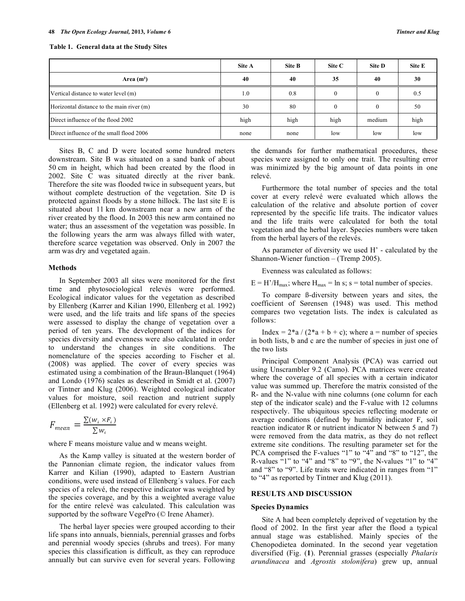|                                           | Site A | Site B | Site C | Site D | Site E |
|-------------------------------------------|--------|--------|--------|--------|--------|
| Area $(m2)$                               | 40     | 40     | 35     | 40     | 30     |
| Vertical distance to water level (m)      | 1.0    | 0.8    |        |        | 0.5    |
| Horizontal distance to the main river (m) | 30     | 80     |        |        | 50     |
| Direct influence of the flood 2002        | high   | high   | high   | medium | high   |
| Direct influence of the small flood 2006  | none   | none   | low    | low    | low    |

**Table 1. General data at the Study Sites**

Sites B, C and D were located some hundred meters downstream. Site B was situated on a sand bank of about 50 cm in height, which had been created by the flood in 2002. Site C was situated directly at the river bank. Therefore the site was flooded twice in subsequent years, but without complete destruction of the vegetation. Site D is protected against floods by a stone hillock. The last site E is situated about 11 km downstream near a new arm of the river created by the flood. In 2003 this new arm contained no water; thus an assessment of the vegetation was possible. In the following years the arm was always filled with water, therefore scarce vegetation was observed. Only in 2007 the arm was dry and vegetated again.

#### **Methods**

In September 2003 all sites were monitored for the first time and phytosociological relevés were performed. Ecological indicator values for the vegetation as described by Ellenberg (Karrer and Kilian 1990, Ellenberg et al. 1992) were used, and the life traits and life spans of the species were assessed to display the change of vegetation over a period of ten years. The development of the indices for species diversity and evenness were also calculated in order to understand the changes in site conditions. The nomenclature of the species according to Fischer et al. (2008) was applied. The cover of every species was estimated using a combination of the Braun-Blanquet (1964) and Londo (1976) scales as described in Smidt et al. (2007) or Tintner and Klug (2006). Weighted ecological indicator values for moisture, soil reaction and nutrient supply (Ellenberg et al. 1992) were calculated for every relevé.

$$
F_{mean} = \frac{\sum (w_i \times F_i)}{\sum w_i}
$$

where F means moisture value and w means weight.

As the Kamp valley is situated at the western border of the Pannonian climate region, the indicator values from Karrer and Kilian (1990), adapted to Eastern Austrian conditions, were used instead of Ellenberg´s values. For each species of a relevé, the respective indicator was weighted by the species coverage, and by this a weighted average value for the entire relevé was calculated. This calculation was supported by the software VegePro (© Irene Ahamer).

The herbal layer species were grouped according to their life spans into annuals, biennials, perennial grasses and forbs and perennial woody species (shrubs and trees). For many species this classification is difficult, as they can reproduce annually but can survive even for several years. Following the demands for further mathematical procedures, these species were assigned to only one trait. The resulting error was minimized by the big amount of data points in one relevé.

Furthermore the total number of species and the total cover at every relevé were evaluated which allows the calculation of the relative and absolute portion of cover represented by the specific life traits. The indicator values and the life traits were calculated for both the total vegetation and the herbal layer. Species numbers were taken from the herbal layers of the relevés.

As parameter of diversity we used H' - calculated by the Shannon-Wiener function – (Tremp 2005).

Evenness was calculated as follows:

 $E = H'/H_{\text{max}}$ ; where  $H_{\text{max}} = \ln s$ ; s = total number of species.

To compare ß-diversity between years and sites, the coefficient of Sørensen (1948) was used. This method compares two vegetation lists. The index is calculated as follows:

Index =  $2*a/(2*a+b+c)$ ; where a = number of species in both lists, b and c are the number of species in just one of the two lists

Principal Component Analysis (PCA) was carried out using Unscrambler 9.2 (Camo). PCA matrices were created where the coverage of all species with a certain indicator value was summed up. Therefore the matrix consisted of the R- and the N-value with nine columns (one column for each step of the indicator scale) and the F-value with 12 columns respectively. The ubiquitous species reflecting moderate or average conditions (defined by humidity indicator F, soil reaction indicator R or nutrient indicator N between 5 and 7) were removed from the data matrix, as they do not reflect extreme site conditions. The resulting parameter set for the PCA comprised the F-values "1" to "4" and "8" to "12", the R-values "1" to "4" and "8" to "9", the N-values "1" to "4" and "8" to "9". Life traits were indicated in ranges from "1" to "4" as reported by Tintner and Klug (2011).

### **RESULTS AND DISCUSSION**

#### **Species Dynamics**

Site A had been completely deprived of vegetation by the flood of 2002. In the first year after the flood a typical annual stage was established. Mainly species of the Chenopodietea dominated. In the second year vegetation diversified (Fig. (**1**). Perennial grasses (especially *Phalaris arundinacea* and *Agrostis stolonifera*) grew up, annual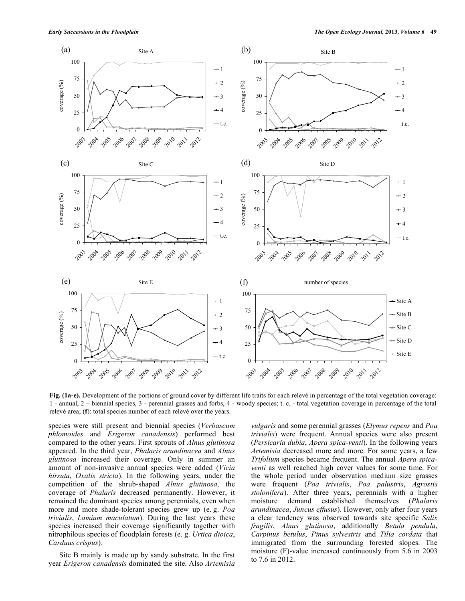

**Fig. (1a-e).** Development of the portions of ground cover by different life traits for each relevé in percentage of the total vegetation coverage: 1 - annual, 2 – biennial species, 3 - perennial grasses and forbs, 4 - woody species; t. c. - total vegetation coverage in percentage of the total relevé area; (**f**): total species number of each relevé over the years.

species were still present and biennial species (*Verbascum phlomoides* and *Erigeron canadensis*) performed best compared to the other years. First sprouts of *Alnus glutinosa* appeared. In the third year, *Phalaris arundinacea* and *Alnus glutinosa* increased their coverage. Only in summer an amount of non-invasive annual species were added (*Vicia hirsuta*, *Oxalis stricta*). In the following years, under the competition of the shrub-shaped *Alnus glutinosa,* the coverage of *Phalaris* decreased permanently. However, it remained the dominant species among perennials, even when more and more shade-tolerant species grew up (e. g. *Poa trivialis*, *Lamium maculatum*). During the last years these species increased their coverage significantly together with nitrophilous species of floodplain forests (e. g. *Urtica dioica*, *Carduus crispus*).

Site B mainly is made up by sandy substrate. In the first year *Erigeron canadensis* dominated the site. Also *Artemisia* 

*vulgaris* and some perennial grasses (*Elymus repens* and *Poa trivialis*) were frequent. Annual species were also present (*Persicaria dubia*, *Apera spica-venti*). In the following years *Artemisia* decreased more and more. For some years, a few *Trifolium* species became frequent. The annual *Apera spicaventi* as well reached high cover values for some time. For the whole period under observation medium size grasses were frequent (*Poa trivialis*, *Poa palustris*, *Agrostis stolonifera*). After three years, perennials with a higher moisture demand established themselves (*Phalaris arundinacea*, *Juncus effusus*). However, only after four years a clear tendency was observed towards site specific *Salix fragilis*, *Alnus glutinosa*, additionally *Betula pendula*, *Carpinus betulus*, *Pinus sylvestris* and *Tilia cordata* that immigrated from the surrounding forested slopes. The moisture (F)-value increased continuously from 5.6 in 2003 to 7.6 in 2012.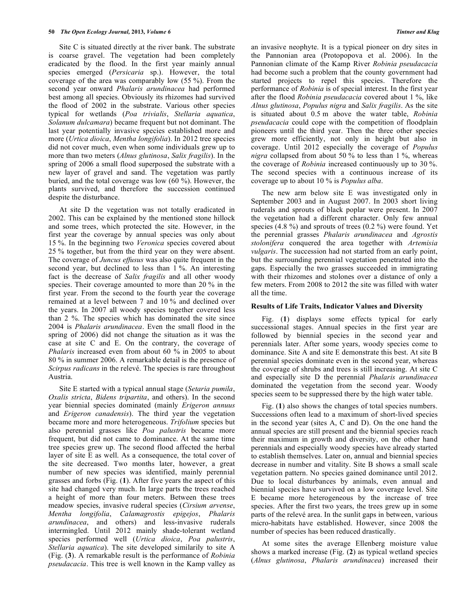Site C is situated directly at the river bank. The substrate is coarse gravel. The vegetation had been completely eradicated by the flood. In the first year mainly annual species emerged (*Persicaria* sp.). However, the total coverage of the area was comparably low (55 %). From the second year onward *Phalaris arundinacea* had performed best among all species. Obviously its rhizomes had survived the flood of 2002 in the substrate. Various other species typical for wetlands (*Poa trivialis*, *Stellaria aquatica*, *Solanum dulcamara*) became frequent but not dominant. The last year potentially invasive species established more and more (*Urtica dioica*, *Mentha longifolia*). In 2012 tree species did not cover much, even when some individuals grew up to more than two meters (*Alnus glutinosa*, *Salix fragilis*). In the spring of 2006 a small flood superposed the substrate with a new layer of gravel and sand. The vegetation was partly buried, and the total coverage was low (60 %). However, the plants survived, and therefore the succession continued despite the disturbance.

At site D the vegetation was not totally eradicated in 2002. This can be explained by the mentioned stone hillock and some trees, which protected the site. However, in the first year the coverage by annual species was only about 15 %. In the beginning two *Veronica* species covered about 25 % together, but from the third year on they were absent. The coverage of *Juncus effusus* was also quite frequent in the second year, but declined to less than 1 %. An interesting fact is the decrease of *Salix fragilis* and all other woody species. Their coverage amounted to more than 20 % in the first year. From the second to the fourth year the coverage remained at a level between 7 and 10 % and declined over the years. In 2007 all woody species together covered less than 2 %. The species which has dominated the site since 2004 is *Phalaris arundinacea*. Even the small flood in the spring of 2006) did not change the situation as it was the case at site C and E. On the contrary, the coverage of *Phalaris* increased even from about 60 % in 2005 to about 80 % in summer 2006. A remarkable detail is the presence of *Scirpus radicans* in the relevé. The species is rare throughout Austria.

Site E started with a typical annual stage (*Setaria pumila*, *Oxalis stricta*, *Bidens tripartita*, and others). In the second year biennial species dominated (mainly *Erigeron annuus* and *Erigeron canadensis*). The third year the vegetation became more and more heterogeneous. *Trifolium* species but also perennial grasses like *Poa palustris* became more frequent, but did not came to dominance. At the same time tree species grew up. The second flood affected the herbal layer of site E as well. As a consequence, the total cover of the site decreased. Two months later, however, a great number of new species was identified, mainly perennial grasses and forbs (Fig. (**1**). After five years the aspect of this site had changed very much. In large parts the trees reached a height of more than four meters. Between these trees meadow species, invasive ruderal species (*Cirsium arvense*, *Mentha longifolia*, *Calamagrostis epigejos*, *Phalaris arundinacea*, and others) and less-invasive ruderals intermingled. Until 2012 mainly shade-tolerant wetland species performed well (*Urtica dioica*, *Poa palustris*, *Stellaria aquatica*). The site developed similarily to site A (Fig. (**3**). A remarkable result is the performance of *Robinia pseudacacia*. This tree is well known in the Kamp valley as

an invasive neophyte. It is a typical pioneer on dry sites in the Pannonian area (Protopopova et al. 2006). In the Pannonian climate of the Kamp River *Robinia pseudacacia* had become such a problem that the county government had started projects to repel this species. Therefore the performance of *Robinia* is of special interest. In the first year after the flood *Robinia pseudacacia* covered about 1 %, like *Alnus glutinosa*, *Populus nigra* and *Salix fragilis*. As the site is situated about 0.5 m above the water table, *Robinia pseudacacia* could cope with the competition of floodplain pioneers until the third year. Then the three other species grew more efficiently, not only in height but also in coverage. Until 2012 especially the coverage of *Populus nigra* collapsed from about 50 % to less than 1 %, whereas the coverage of *Robinia* increased continuously up to 30 %. The second species with a continuous increase of its coverage up to about 10 % is *Populus alba*.

The new arm below site E was investigated only in September 2003 and in August 2007. In 2003 short living ruderals and sprouts of black poplar were present. In 2007 the vegetation had a different character. Only few annual species  $(4.8 \%)$  and sprouts of trees  $(0.2 \%)$  were found. Yet the perennial grasses *Phalaris arundinacea* and *Agrostis stolonifera* conquered the area together with *Artemisia vulgaris*. The succession had not started from an early point, but the surrounding perennial vegetation penetrated into the gaps. Especially the two grasses succeeded in immigrating with their rhizomes and stolones over a distance of only a few meters. From 2008 to 2012 the site was filled with water all the time.

#### **Results of Life Traits, Indicator Values and Diversity**

Fig. (**1**) displays some effects typical for early successional stages. Annual species in the first year are followed by biennial species in the second year and perennials later. After some years, woody species come to dominance. Site A and site E demonstrate this best. At site B perennial species dominate even in the second year, whereas the coverage of shrubs and trees is still increasing. At site C and especially site D the perennial *Phalaris arundinacea* dominated the vegetation from the second year. Woody species seem to be suppressed there by the high water table.

Fig. (1) also shows the changes of total species numbers. Successions often lead to a maximum of short-lived species in the second year (sites A, C and D). On the one hand the annual species are still present and the biennial species reach their maximum in growth and diversity, on the other hand perennials and especially woody species have already started to establish themselves. Later on, annual and biennial species decrease in number and vitality. Site B shows a small scale vegetation pattern. No species gained dominance until 2012. Due to local disturbances by animals, even annual and biennial species have survived on a low coverage level. Site E became more heterogeneous by the increase of tree species. After the first two years, the trees grew up in some parts of the relevé area. In the sunlit gaps in between, various micro-habitats have established. However, since 2008 the number of species has been reduced drastically.

At some sites the average Ellenberg moisture value shows a marked increase (Fig. (**2**) as typical wetland species (*Alnus glutinosa*, *Phalaris arundinacea*) increased their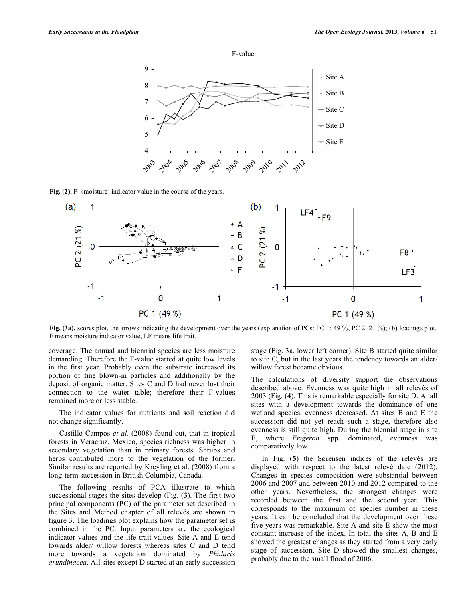



**Fig. (2).** F- (moisture) indicator value in the course of the years.



**Fig. (3a).** scores plot, the arrows indicating the development over the years (explanation of PCs: PC 1: 49 %, PC 2: 21 %); (**b**) loadings plot. F means moisture indicator value, LF means life trait.

coverage. The annual and biennial species are less moisture demanding. Therefore the F-value started at quite low levels in the first year. Probably even the substrate increased its portion of fine blown-in particles and additionally by the deposit of organic matter. Sites C and D had never lost their connection to the water table; therefore their F-values remained more or less stable.

The indicator values for nutrients and soil reaction did not change significantly.

Castillo-Campos *et al.* (2008) found out, that in tropical forests in Veracruz, Mexico, species richness was higher in secondary vegetation than in primary forests. Shrubs and herbs contributed more to the vegetation of the former. Similar results are reported by Kreyling et al. (2008) from a long-term succession in British Columbia, Canada.

The following results of PCA illustrate to which successional stages the sites develop (Fig. (**3**). The first two principal components (PC) of the parameter set described in the Sites and Method chapter of all relevés are shown in figure 3. The loadings plot explains how the parameter set is combined in the PC. Input parameters are the ecological indicator values and the life trait-values. Site A and E tend towards alder/ willow forests whereas sites C and D tend more towards a vegetation dominated by *Phalaris arundinacea*. All sites except D started at an early succession stage (Fig. 3a, lower left corner). Site B started quite similar to site C, but in the last years the tendency towards an alder/ willow forest became obvious.

The calculations of diversity support the observations described above. Evenness was quite high in all relevés of 2003 (Fig. (**4**). This is remarkable especially for site D. At all sites with a development towards the dominance of one wetland species, evenness decreased. At sites B and E the succession did not yet reach such a stage, therefore also evenness is still quite high. During the biennial stage in site E, where *Erigeron* spp. dominated, evenness was comparatively low.

In Fig. (**5**) the Sørensen indices of the relevés are displayed with respect to the latest relevé date (2012). Changes in species composition were substantial between 2006 and 2007 and between 2010 and 2012 compared to the other years. Nevertheless, the strongest changes were recorded between the first and the second year. This corresponds to the maximum of species number in these years. It can be concluded that the development over these five years was remarkable. Site A and site E show the most constant increase of the index. In total the sites A, B and E showed the greatest changes as they started from a very early stage of succession. Site D showed the smallest changes, probably due to the small flood of 2006.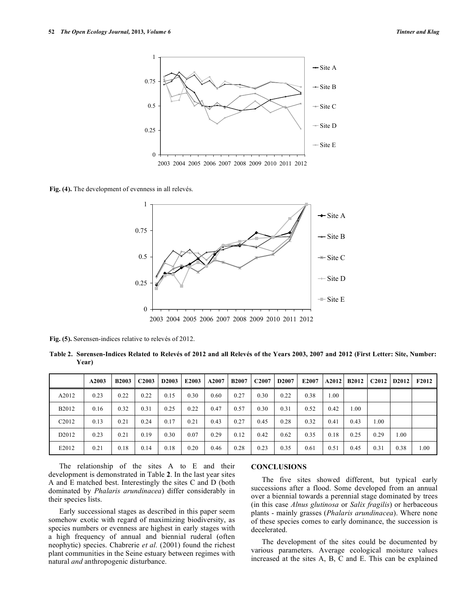

**Fig. (4).** The development of evenness in all relevés.



**Fig. (5).** Sørensen-indices relative to relevés of 2012.

**Table 2. Sørensen-Indices Related to Relevés of 2012 and all Relevés of the Years 2003, 2007 and 2012 (First Letter: Site, Number: Year)**

|                   | A2003 | <b>B2003</b> | C <sub>2003</sub> | D2003 | E2003 | A2007 | <b>B2007</b> | C <sub>2007</sub> | <b>D2007</b> | E2007 | A2012 | <b>B2012</b> | C <sub>2012</sub> | D <sub>2012</sub> | <b>F2012</b> |
|-------------------|-------|--------------|-------------------|-------|-------|-------|--------------|-------------------|--------------|-------|-------|--------------|-------------------|-------------------|--------------|
| A2012             | 0.23  | 0.22         | 0.22              | 0.15  | 0.30  | 0.60  | 0.27         | 0.30              | 0.22         | 0.38  | 1.00  |              |                   |                   |              |
| <b>B2012</b>      | 0.16  | 0.32         | 0.31              | 0.25  | 0.22  | 0.47  | 0.57         | 0.30              | 0.31         | 0.52  | 0.42  | 00.1         |                   |                   |              |
| C <sub>2012</sub> | 0.13  | 0.21         | 0.24              | 0.17  | 0.21  | 0.43  | 0.27         | 0.45              | 0.28         | 0.32  | 0.41  | 0.43         | 1.00              |                   |              |
| D <sub>2012</sub> | 0.23  | 0.21         | 0.19              | 0.30  | 0.07  | 0.29  | 0.12         | 0.42              | 0.62         | 0.35  | 0.18  | 0.25         | 0.29              | .00.              |              |
| E2012             | 0.21  | 0.18         | 0.14              | 0.18  | 0.20  | 0.46  | 0.28         | 0.23              | 0.35         | 0.61  | 0.51  | 0.45         | 0.31              | 0.38              | 1.00         |

The relationship of the sites A to E and their development is demonstrated in Table **2**. In the last year sites A and E matched best. Interestingly the sites C and D (both dominated by *Phalaris arundinacea*) differ considerably in their species lists.

Early successional stages as described in this paper seem somehow exotic with regard of maximizing biodiversity, as species numbers or evenness are highest in early stages with a high frequency of annual and biennial ruderal (often neophytic) species. Chabrerie *et al.* (2001) found the richest plant communities in the Seine estuary between regimes with natural *and* anthropogenic disturbance.

# **CONCLUSIONS**

The five sites showed different, but typical early successions after a flood. Some developed from an annual over a biennial towards a perennial stage dominated by trees (in this case *Alnus glutinosa* or *Salix fragilis*) or herbaceous plants - mainly grasses (*Phalaris arundinacea*). Where none of these species comes to early dominance, the succession is decelerated.

The development of the sites could be documented by various parameters. Average ecological moisture values increased at the sites A, B, C and E. This can be explained